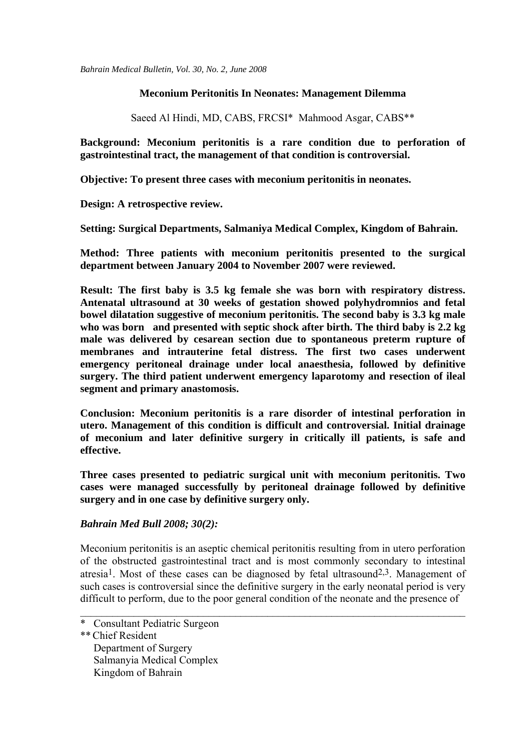*Bahrain Medical Bulletin, Vol. 30, No. 2, June 2008*

### **Meconium Peritonitis In Neonates: Management Dilemma**

Saeed Al Hindi, MD, CABS, FRCSI\* Mahmood Asgar, CABS\*\*

**Background: Meconium peritonitis is a rare condition due to perforation of gastrointestinal tract, the management of that condition is controversial.** 

**Objective: To present three cases with meconium peritonitis in neonates.** 

**Design: A retrospective review.** 

**Setting: Surgical Departments, Salmaniya Medical Complex, Kingdom of Bahrain.** 

**Method: Three patients with meconium peritonitis presented to the surgical department between January 2004 to November 2007 were reviewed.** 

**Result: The first baby is 3.5 kg female she was born with respiratory distress. Antenatal ultrasound at 30 weeks of gestation showed polyhydromnios and fetal bowel dilatation suggestive of meconium peritonitis. The second baby is 3.3 kg male who was born and presented with septic shock after birth. The third baby is 2.2 kg male was delivered by cesarean section due to spontaneous preterm rupture of membranes and intrauterine fetal distress. The first two cases underwent emergency peritoneal drainage under local anaesthesia, followed by definitive surgery. The third patient underwent emergency laparotomy and resection of ileal segment and primary anastomosis.** 

**Conclusion: Meconium peritonitis is a rare disorder of intestinal perforation in utero. Management of this condition is difficult and controversial. Initial drainage of meconium and later definitive surgery in critically ill patients, is safe and effective.**

**Three cases presented to pediatric surgical unit with meconium peritonitis. Two cases were managed successfully by peritoneal drainage followed by definitive surgery and in one case by definitive surgery only.** 

### *Bahrain Med Bull 2008; 30(2):*

Meconium peritonitis is an aseptic chemical peritonitis resulting from in utero perforation of the obstructed gastrointestinal tract and is most commonly secondary to intestinal atresia<sup>1</sup>. Most of these cases can be diagnosed by fetal ultrasound<sup>2,3</sup>. Management of such cases is controversial since the definitive surgery in the early neonatal period is very difficult to perform, due to the poor general condition of the neonate and the presence of

 $\_$  , and the contribution of the contribution of  $\mathcal{L}_\mathcal{A}$  , and the contribution of  $\mathcal{L}_\mathcal{A}$ 

Kingdom of Bahrain

<sup>\*</sup> Consultant Pediatric Surgeon

<sup>\*\*</sup>Chief Resident Department of Surgery Salmanyia Medical Complex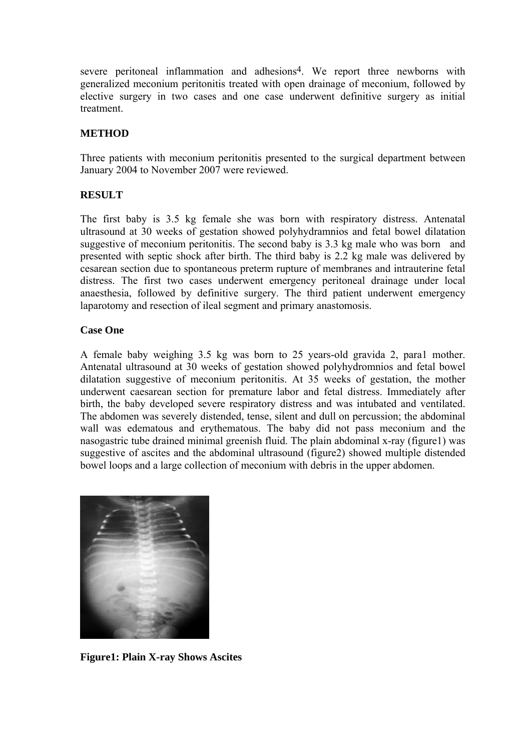severe peritoneal inflammation and adhesions<sup>4</sup>. We report three newborns with generalized meconium peritonitis treated with open drainage of meconium, followed by elective surgery in two cases and one case underwent definitive surgery as initial treatment.

# **METHOD**

Three patients with meconium peritonitis presented to the surgical department between January 2004 to November 2007 were reviewed.

## **RESULT**

The first baby is 3.5 kg female she was born with respiratory distress. Antenatal ultrasound at 30 weeks of gestation showed polyhydramnios and fetal bowel dilatation suggestive of meconium peritonitis. The second baby is 3.3 kg male who was born and presented with septic shock after birth. The third baby is 2.2 kg male was delivered by cesarean section due to spontaneous preterm rupture of membranes and intrauterine fetal distress. The first two cases underwent emergency peritoneal drainage under local anaesthesia, followed by definitive surgery. The third patient underwent emergency laparotomy and resection of ileal segment and primary anastomosis.

### **Case One**

A female baby weighing 3.5 kg was born to 25 years-old gravida 2, para1 mother. Antenatal ultrasound at 30 weeks of gestation showed polyhydromnios and fetal bowel dilatation suggestive of meconium peritonitis. At 35 weeks of gestation, the mother underwent caesarean section for premature labor and fetal distress. Immediately after birth, the baby developed severe respiratory distress and was intubated and ventilated. The abdomen was severely distended, tense, silent and dull on percussion; the abdominal wall was edematous and erythematous. The baby did not pass meconium and the nasogastric tube drained minimal greenish fluid. The plain abdominal x-ray (figure1) was suggestive of ascites and the abdominal ultrasound (figure2) showed multiple distended bowel loops and a large collection of meconium with debris in the upper abdomen.



**Figure1: Plain X-ray Shows Ascites**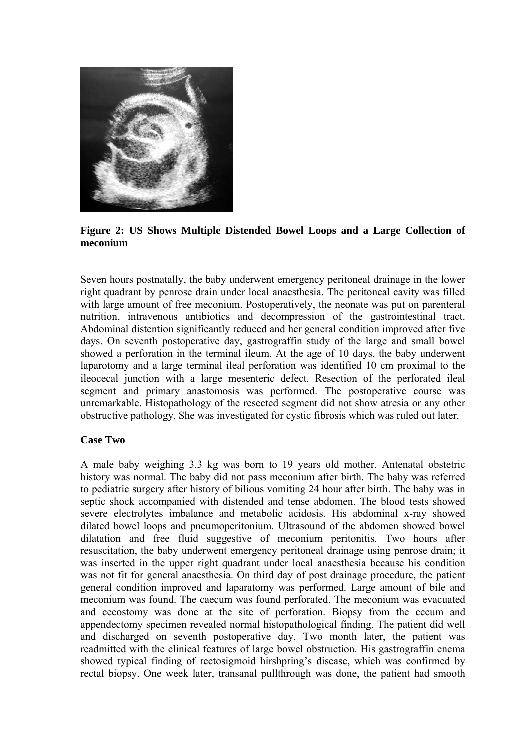

**Figure 2: US Shows Multiple Distended Bowel Loops and a Large Collection of meconium** 

Seven hours postnatally, the baby underwent emergency peritoneal drainage in the lower right quadrant by penrose drain under local anaesthesia. The peritoneal cavity was filled with large amount of free meconium. Postoperatively, the neonate was put on parenteral nutrition, intravenous antibiotics and decompression of the gastrointestinal tract. Abdominal distention significantly reduced and her general condition improved after five days. On seventh postoperative day, gastrograffin study of the large and small bowel showed a perforation in the terminal ileum. At the age of 10 days, the baby underwent laparotomy and a large terminal ileal perforation was identified 10 cm proximal to the ileocecal junction with a large mesenteric defect. Resection of the perforated ileal segment and primary anastomosis was performed. The postoperative course was unremarkable. Histopathology of the resected segment did not show atresia or any other obstructive pathology. She was investigated for cystic fibrosis which was ruled out later.

### **Case Two**

A male baby weighing 3.3 kg was born to 19 years old mother. Antenatal obstetric history was normal. The baby did not pass meconium after birth. The baby was referred to pediatric surgery after history of bilious vomiting 24 hour after birth. The baby was in septic shock accompanied with distended and tense abdomen. The blood tests showed severe electrolytes imbalance and metabolic acidosis. His abdominal x-ray showed dilated bowel loops and pneumoperitonium. Ultrasound of the abdomen showed bowel dilatation and free fluid suggestive of meconium peritonitis. Two hours after resuscitation, the baby underwent emergency peritoneal drainage using penrose drain; it was inserted in the upper right quadrant under local anaesthesia because his condition was not fit for general anaesthesia. On third day of post drainage procedure, the patient general condition improved and laparatomy was performed. Large amount of bile and meconium was found. The caecum was found perforated. The meconium was evacuated and cecostomy was done at the site of perforation. Biopsy from the cecum and appendectomy specimen revealed normal histopathological finding. The patient did well and discharged on seventh postoperative day. Two month later, the patient was readmitted with the clinical features of large bowel obstruction. His gastrograffin enema showed typical finding of rectosigmoid hirshpring's disease, which was confirmed by rectal biopsy. One week later, transanal pullthrough was done, the patient had smooth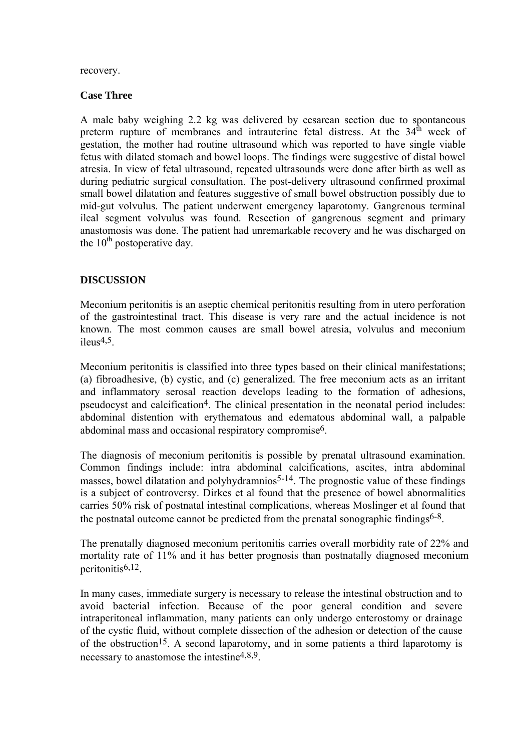#### recovery.

#### **Case Three**

A male baby weighing 2.2 kg was delivered by cesarean section due to spontaneous preterm rupture of membranes and intrauterine fetal distress. At the  $34<sup>th</sup>$  week of gestation, the mother had routine ultrasound which was reported to have single viable fetus with dilated stomach and bowel loops. The findings were suggestive of distal bowel atresia. In view of fetal ultrasound, repeated ultrasounds were done after birth as well as during pediatric surgical consultation. The post-delivery ultrasound confirmed proximal small bowel dilatation and features suggestive of small bowel obstruction possibly due to mid-gut volvulus. The patient underwent emergency laparotomy. Gangrenous terminal ileal segment volvulus was found. Resection of gangrenous segment and primary anastomosis was done. The patient had unremarkable recovery and he was discharged on the  $10<sup>th</sup>$  postoperative day.

# **DISCUSSION**

Meconium peritonitis is an aseptic chemical peritonitis resulting from in utero perforation of the gastrointestinal tract. This disease is very rare and the actual incidence is not known. The most common causes are small bowel atresia, volvulus and meconium  $i$ leus<sup>4,5</sup>.

Meconium peritonitis is classified into three types based on their clinical manifestations; (a) fibroadhesive, (b) cystic, and (c) generalized. The free meconium acts as an irritant and inflammatory serosal reaction develops leading to the formation of adhesions, pseudocyst and calcification<sup>4</sup>. The clinical presentation in the neonatal period includes: abdominal distention with erythematous and edematous abdominal wall, a palpable abdominal mass and occasional respiratory compromise6.

The diagnosis of meconium peritonitis is possible by prenatal ultrasound examination. Common findings include: intra abdominal calcifications, ascites, intra abdominal masses, bowel dilatation and polyhydramnios<sup>5-14</sup>. The prognostic value of these findings is a subject of controversy. Dirkes et al found that the presence of bowel abnormalities carries 50% risk of postnatal intestinal complications, whereas Moslinger et al found that the postnatal outcome cannot be predicted from the prenatal sonographic findings<sup>6-8</sup>.

The prenatally diagnosed meconium peritonitis carries overall morbidity rate of 22% and mortality rate of 11% and it has better prognosis than postnatally diagnosed meconium peritonitis6,12.

In many cases, immediate surgery is necessary to release the intestinal obstruction and to avoid bacterial infection. Because of the poor general condition and severe intraperitoneal inflammation, many patients can only undergo enterostomy or drainage of the cystic fluid, without complete dissection of the adhesion or detection of the cause of the obstruction<sup>15</sup>. A second laparotomy, and in some patients a third laparotomy is necessary to anastomose the intestine4,8,9.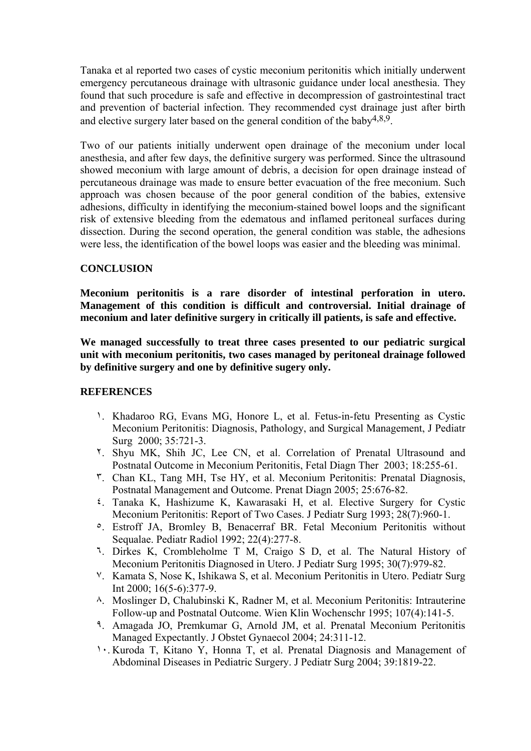Tanaka et al reported two cases of cystic meconium peritonitis which initially underwent emergency percutaneous drainage with ultrasonic guidance under local anesthesia. They found that such procedure is safe and effective in decompression of gastrointestinal tract and prevention of bacterial infection. They recommended cyst drainage just after birth and elective surgery later based on the general condition of the baby4,8,9.

Two of our patients initially underwent open drainage of the meconium under local anesthesia, and after few days, the definitive surgery was performed. Since the ultrasound showed meconium with large amount of debris, a decision for open drainage instead of percutaneous drainage was made to ensure better evacuation of the free meconium. Such approach was chosen because of the poor general condition of the babies, extensive adhesions, difficulty in identifying the meconium-stained bowel loops and the significant risk of extensive bleeding from the edematous and inflamed peritoneal surfaces during dissection. During the second operation, the general condition was stable, the adhesions were less, the identification of the bowel loops was easier and the bleeding was minimal.

## **CONCLUSION**

**Meconium peritonitis is a rare disorder of intestinal perforation in utero. Management of this condition is difficult and controversial. Initial drainage of meconium and later definitive surgery in critically ill patients, is safe and effective.** 

**We managed successfully to treat three cases presented to our pediatric surgical unit with meconium peritonitis, two cases managed by peritoneal drainage followed by definitive surgery and one by definitive sugery only.** 

### **REFERENCES**

- ١. Khadaroo RG, Evans MG, Honore L, et al. Fetus-in-fetu Presenting as Cystic Meconium Peritonitis: Diagnosis, Pathology, and Surgical Management, J Pediatr Surg 2000; 35:721-3.
- ٢. Shyu MK, Shih JC, Lee CN, et al. Correlation of Prenatal Ultrasound and Postnatal Outcome in Meconium Peritonitis, Fetal Diagn Ther 2003; 18:255-61.
- ٣. Chan KL, Tang MH, Tse HY, et al. Meconium Peritonitis: Prenatal Diagnosis, Postnatal Management and Outcome. Prenat Diagn 2005; 25:676-82.
- ٤. Tanaka K, Hashizume K, Kawarasaki H, et al. Elective Surgery for Cystic Meconium Peritonitis: Report of Two Cases. J Pediatr Surg 1993; 28(7):960-1.
- ٥. Estroff JA, Bromley B, Benacerraf BR. Fetal Meconium Peritonitis without Sequalae. Pediatr Radiol 1992; 22(4):277-8.
- ٦. Dirkes K, Crombleholme T M, Craigo S D, et al. The Natural History of Meconium Peritonitis Diagnosed in Utero. J Pediatr Surg 1995; 30(7):979-82.
- ٧. Kamata S, Nose K, Ishikawa S, et al. Meconium Peritonitis in Utero. Pediatr Surg Int 2000; 16(5-6):377-9.
- ٨. Moslinger D, Chalubinski K, Radner M, et al. Meconium Peritonitis: Intrauterine Follow-up and Postnatal Outcome. Wien Klin Wochenschr 1995; 107(4):141-5.
- ٩. Amagada JO, Premkumar G, Arnold JM, et al. Prenatal Meconium Peritonitis Managed Expectantly. J Obstet Gynaecol 2004; 24:311-12.
- ١٠. Kuroda T, Kitano Y, Honna T, et al. Prenatal Diagnosis and Management of Abdominal Diseases in Pediatric Surgery. J Pediatr Surg 2004; 39:1819-22.